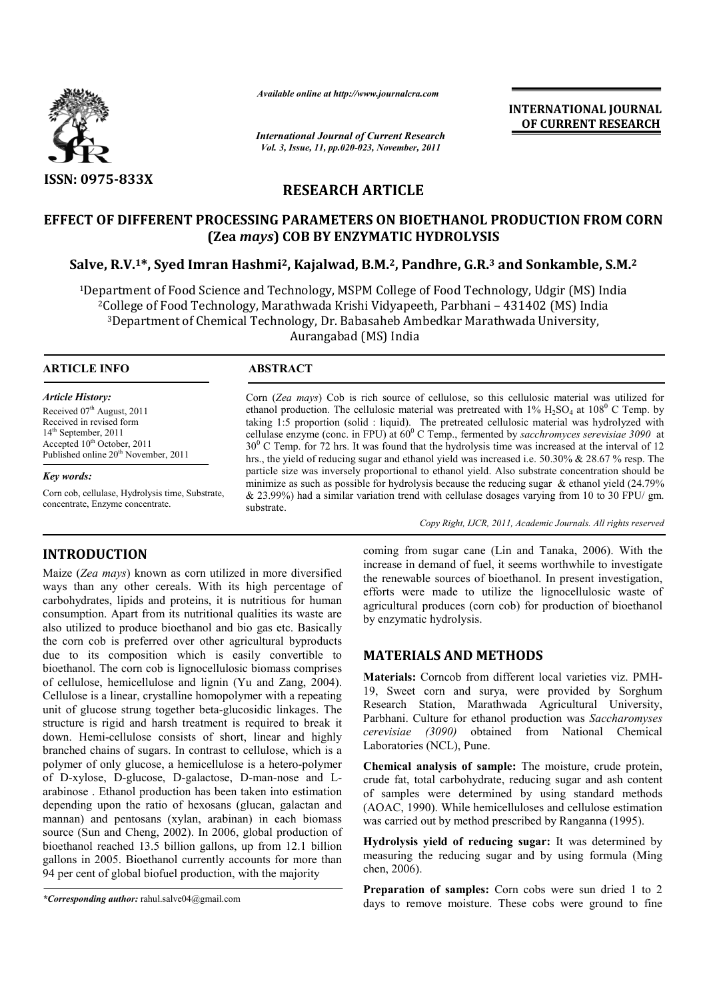

*Available online at http://www.journalcra.com*

*International Journal of Current Research Vol. 3, Issue, 11, pp.020-023, November, 2011*

**INTERNATIONAL JOURNAL OF CURRENT RESEARCH** 

# **RESEARCH ARTICLE**

# **EFFECT OF DIFFERENT PROCESSING PARAMETERS ON BIOETHANOL PRODUCTION FROM CORN (Zea** *mays***) COB BY ENZYMATIC HYDROLYSIS**

# **Salve, R.V.1\*, Syed Imran Hashmi2, Kajalwad, B.M. 2, Pandhre, G.R.3 and Sonkamble, S.M.2**

1Department of Food Science and Technology, MSPM College of Food Technology, Udgir (MS) India 2College of Food Technology, Marathwada Krishi Vidyapeeth, Parbhani – 431402 (MS) India 3Department of Chemical Technology, Dr. Babasaheb Ambedkar Marathwada University, Aurangabad (MS) India

 $\overline{a}$ 

## **ARTICLE INFO ABSTRACT**

## *Article History:*

Received 07<sup>th</sup> August, 2011 Received in revised form 14<sup>th</sup> September, 2011 Accepted 10<sup>th</sup> October, 2011 Published online  $20<sup>th</sup>$  November, 2011

#### *Key words:*

**INTRODUCTION**

Corn cob, cellulase, Hydrolysis time, Substrate, concentrate, Enzyme concentrate.

Corn (*Zea mays*) Cob is rich source of cellulose, so this cellulosic material was utilized for ethanol production. The cellulosic material was pretreated with  $1\%$  H<sub>2</sub>SO<sub>4</sub> at  $108^{\circ}$  C Temp. by taking 1:5 proportion (solid : liquid). The pretreated cellulosic material was hydrolyzed with cellulase enzyme (conc. in FPU) at 60<sup>0</sup> C Temp., fermented by *sacchromyces serevisiae* 3090 at 30<sup>0</sup> C Temp. for 72 hrs. It was found that the hydrolysis time was increased at the interval of 12 hrs., the yield of reducing sugar and ethanol yield was increased i.e. 50.30% & 28.67 % resp. The particle size was inversely proportional to ethanol yield. Also substrate concentration should be minimize as such as possible for hydrolysis because the reducing sugar  $\&$  ethanol yield (24.79%) & 23.99%) had a similar variation trend with cellulase dosages varying from 10 to 30 FPU/ gm. substrate.

*Copy Right, IJCR, 2011, Academic Journals. All rights reserved*

Maize (*Zea mays*) known as corn utilized in more diversified ways than any other cereals. With its high percentage of carbohydrates, lipids and proteins, it is nutritious for human consumption. Apart from its nutritional qualities its waste are also utilized to produce bioethanol and bio gas etc. Basically the corn cob is preferred over other agricultural byproducts due to its composition which is easily convertible to bioethanol. The corn cob is lignocellulosic biomass comprises of cellulose, hemicellulose and lignin (Yu and Zang, 2004). Cellulose is a linear, crystalline homopolymer with a repeating unit of glucose strung together beta-glucosidic linkages. The structure is rigid and harsh treatment is required to break it down. Hemi-cellulose consists of short, linear and highly branched chains of sugars. In contrast to cellulose, which is a polymer of only glucose, a hemicellulose is a hetero-polymer of D-xylose, D-glucose, D-galactose, D-man-nose and Larabinose . Ethanol production has been taken into estimation depending upon the ratio of hexosans (glucan, galactan and mannan) and pentosans (xylan, arabinan) in each biomass source (Sun and Cheng, 2002). In 2006, global production of bioethanol reached 13.5 billion gallons, up from 12.1 billion gallons in 2005. Bioethanol currently accounts for more than 94 per cent of global biofuel production, with the majority

coming from sugar cane (Lin and Tanaka, 2006). With the increase in demand of fuel, it seems worthwhile to investigate the renewable sources of bioethanol. In present investigation, efforts were made to utilize the lignocellulosic waste of agricultural produces (corn cob) for production of bioethanol by enzymatic hydrolysis.

## **MATERIALS AND METHODS**

**Materials:** Corncob from different local varieties viz. PMH-19, Sweet corn and surya, were provided by Sorghum Research Station, Marathwada Agricultural University, Parbhani. Culture for ethanol production was *Saccharomyses cerevisiae (3090)* obtained from National Chemical Laboratories (NCL), Pune.

**Chemical analysis of sample:** The moisture, crude protein, crude fat, total carbohydrate, reducing sugar and ash content of samples were determined by using standard methods (AOAC, 1990). While hemicelluloses and cellulose estimation was carried out by method prescribed by Ranganna (1995).

**Hydrolysis yield of reducing sugar:** It was determined by measuring the reducing sugar and by using formula (Ming chen, 2006).

**Preparation of samples:** Corn cobs were sun dried 1 to 2 days to remove moisture. These cobs were ground to fine

*<sup>\*</sup>Corresponding author:* rahul.salve04@gmail.com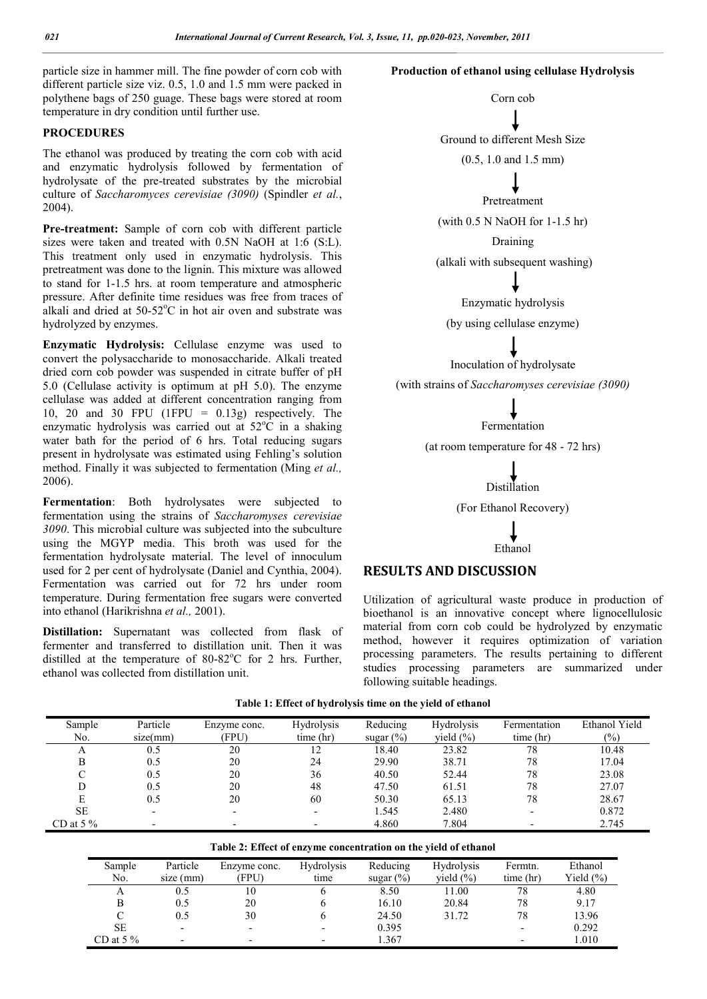particle size in hammer mill. The fine powder of corn cob with different particle size viz. 0.5, 1.0 and 1.5 mm were packed in polythene bags of 250 guage. These bags were stored at room temperature in dry condition until further use.

## **PROCEDURES**

The ethanol was produced by treating the corn cob with acid and enzymatic hydrolysis followed by fermentation of hydrolysate of the pre-treated substrates by the microbial culture of *Saccharomyces cerevisiae (3090)* (Spindler *et al.*, 2004).

**Pre-treatment:** Sample of corn cob with different particle sizes were taken and treated with 0.5N NaOH at 1:6 (S:L). This treatment only used in enzymatic hydrolysis. This pretreatment was done to the lignin. This mixture was allowed to stand for 1-1.5 hrs. at room temperature and atmospheric pressure. After definite time residues was free from traces of alkali and dried at  $50-52^{\circ}\text{C}$  in hot air oven and substrate was hydrolyzed by enzymes.

**Enzymatic Hydrolysis:** Cellulase enzyme was used to convert the polysaccharide to monosaccharide. Alkali treated dried corn cob powder was suspended in citrate buffer of pH 5.0 (Cellulase activity is optimum at pH 5.0). The enzyme cellulase was added at different concentration ranging from 10, 20 and 30 FPU (1FPU =  $0.13g$ ) respectively. The enzymatic hydrolysis was carried out at  $52^{\circ}$ C in a shaking water bath for the period of 6 hrs. Total reducing sugars present in hydrolysate was estimated using Fehling's solution method. Finally it was subjected to fermentation (Ming *et al.,* 2006).

**Fermentation**: Both hydrolysates were subjected to fermentation using the strains of *Saccharomyses cerevisiae 3090*. This microbial culture was subjected into the subculture using the MGYP media. This broth was used for the fermentation hydrolysate material. The level of innoculum used for 2 per cent of hydrolysate (Daniel and Cynthia, 2004). Fermentation was carried out for 72 hrs under room temperature. During fermentation free sugars were converted into ethanol (Harikrishna *et al.,* 2001).

**Distillation:** Supernatant was collected from flask of fermenter and transferred to distillation unit. Then it was distilled at the temperature of  $80-82^{\circ}$ C for 2 hrs. Further, ethanol was collected from distillation unit.

## **Production of ethanol using cellulase Hydrolysis**



Utilization of agricultural waste produce in production of bioethanol is an innovative concept where lignocellulosic material from corn cob could be hydrolyzed by enzymatic method, however it requires optimization of variation processing parameters. The results pertaining to different studies processing parameters are summarized under following suitable headings.

|              |          |              | $\sim$<br>$\mathbf{r}$   |              |               |              |               |
|--------------|----------|--------------|--------------------------|--------------|---------------|--------------|---------------|
| Sample       | Particle | Enzyme conc. | <b>Hydrolysis</b>        | Reducing     | Hydrolysis    | Fermentation | Ethanol Yield |
| No.          | size(mm) | (FPU)        | time (hr)                | sugar $(\%)$ | yield $(\% )$ | time (hr)    | $(\%)$        |
| А            | 0.5      | 20           |                          | 18.40        | 23.82         | 78           | 10.48         |
| В            | 0.5      | 20           | 24                       | 29.90        | 38.71         | 78           | 17.04         |
|              | 0.5      | 20           | 36                       | 40.50        | 52.44         | 78           | 23.08         |
| D            | 0.5      | 20           | 48                       | 47.50        | 61.51         | 78           | 27.07         |
| E            | 0.5      | 20           | 60                       | 50.30        | 65.13         | 78           | 28.67         |
| <b>SE</b>    |          | -            | $\overline{\phantom{0}}$ | 1.545        | 2.480         |              | 0.872         |
| CD at 5 $\%$ |          |              |                          | 4.860        | 7.804         |              | 2.745         |

**Table 1: Effect of hydrolysis time on the yield of ethanol** 

| Sample<br>No. | Particle<br>size (mm) | Enzyme conc.<br>(FPU)    | <b>Hydrolysis</b><br>time | Reducing<br>sugar $(\%)$ | <b>Hydrolysis</b><br>vield $(\% )$ | Fermtn.<br>time (hr)     | Ethanol<br>Yield $(\% )$ |
|---------------|-----------------------|--------------------------|---------------------------|--------------------------|------------------------------------|--------------------------|--------------------------|
| А             | 0.5                   | 10                       |                           | 8.50                     | 11.00                              | 78                       | 4.80                     |
| В             | 0.5                   | 20                       |                           | 16.10                    | 20.84                              | 78                       | 9.17                     |
|               | 0.5                   | 30                       |                           | 24.50                    | 31.72                              | 78                       | 13.96                    |
| <b>SE</b>     |                       | $\overline{\phantom{0}}$ |                           | 0.395                    |                                    | $\overline{\phantom{a}}$ | 0.292                    |
| CD at 5 $\%$  |                       |                          |                           | 1.367                    |                                    |                          | 1.010                    |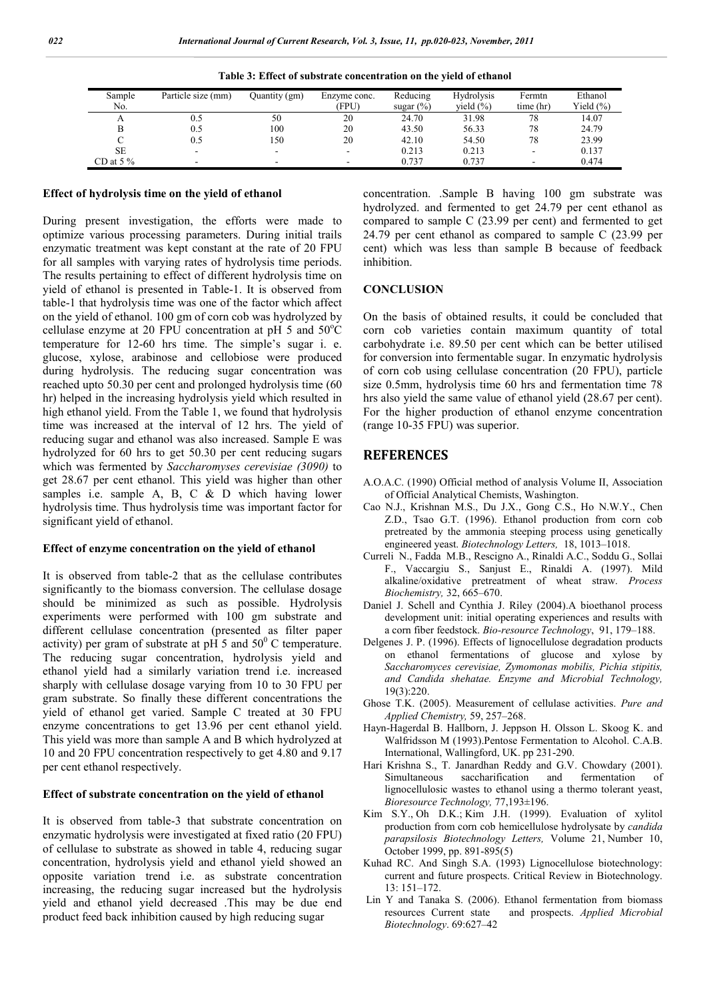| Sample<br>No. | Particle size (mm)       | Ouantity (gm)            | Enzyme conc.<br>(FPU) | Reducing<br>sugar $(\%)$ | <b>Hydrolysis</b><br>vield $(\% )$ | Fermtn<br>time (hr) | Ethanol<br>Yield (%) |
|---------------|--------------------------|--------------------------|-----------------------|--------------------------|------------------------------------|---------------------|----------------------|
| А             |                          | 50                       | 20                    | 24.70                    | 31.98                              | 78                  | 14.07                |
|               | 0.5                      | 100                      | 20                    | 43.50                    | 56.33                              | 78                  | 24.79                |
|               | 0.5                      | 150                      | 20                    | 42.10                    | 54.50                              | 78                  | 23.99                |
| <b>SE</b>     | $\overline{\phantom{0}}$ | $\overline{\phantom{a}}$ |                       | 0.213                    | 0.213                              |                     | 0.137                |
| CD at $5\%$   | $\overline{\phantom{0}}$ | -                        |                       | 0.737                    | 0.737                              | -                   | 0.474                |

|  | Table 3: Effect of substrate concentration on the yield of ethanol |  |  |
|--|--------------------------------------------------------------------|--|--|
|  |                                                                    |  |  |

## **Effect of hydrolysis time on the yield of ethanol**

During present investigation, the efforts were made to optimize various processing parameters. During initial trails enzymatic treatment was kept constant at the rate of 20 FPU for all samples with varying rates of hydrolysis time periods. The results pertaining to effect of different hydrolysis time on yield of ethanol is presented in Table-1. It is observed from table-1 that hydrolysis time was one of the factor which affect on the yield of ethanol. 100 gm of corn cob was hydrolyzed by cellulase enzyme at 20 FPU concentration at pH 5 and  $50^{\circ}$ C temperature for 12-60 hrs time. The simple's sugar i. e. glucose, xylose, arabinose and cellobiose were produced during hydrolysis. The reducing sugar concentration was reached upto 50.30 per cent and prolonged hydrolysis time (60 hr) helped in the increasing hydrolysis yield which resulted in high ethanol yield. From the Table 1, we found that hydrolysis time was increased at the interval of 12 hrs. The yield of reducing sugar and ethanol was also increased. Sample E was hydrolyzed for 60 hrs to get 50.30 per cent reducing sugars which was fermented by *Saccharomyses cerevisiae (3090)* to get 28.67 per cent ethanol. This yield was higher than other samples i.e. sample A, B, C  $\&$  D which having lower hydrolysis time. Thus hydrolysis time was important factor for significant yield of ethanol.

#### **Effect of enzyme concentration on the yield of ethanol**

It is observed from table-2 that as the cellulase contributes significantly to the biomass conversion. The cellulase dosage should be minimized as such as possible. Hydrolysis experiments were performed with 100 gm substrate and different cellulase concentration (presented as filter paper activity) per gram of substrate at  $p\overrightarrow{H}$  5 and 50<sup>0</sup> C temperature. The reducing sugar concentration, hydrolysis yield and ethanol yield had a similarly variation trend i.e. increased sharply with cellulase dosage varying from 10 to 30 FPU per gram substrate. So finally these different concentrations the yield of ethanol get varied. Sample C treated at 30 FPU enzyme concentrations to get 13.96 per cent ethanol yield. This yield was more than sample A and B which hydrolyzed at 10 and 20 FPU concentration respectively to get 4.80 and 9.17 per cent ethanol respectively.

#### **Effect of substrate concentration on the yield of ethanol**

It is observed from table-3 that substrate concentration on enzymatic hydrolysis were investigated at fixed ratio (20 FPU) of cellulase to substrate as showed in table 4, reducing sugar concentration, hydrolysis yield and ethanol yield showed an opposite variation trend i.e. as substrate concentration increasing, the reducing sugar increased but the hydrolysis yield and ethanol yield decreased .This may be due end product feed back inhibition caused by high reducing sugar

concentration. .Sample B having 100 gm substrate was hydrolyzed. and fermented to get 24.79 per cent ethanol as compared to sample C (23.99 per cent) and fermented to get 24.79 per cent ethanol as compared to sample C (23.99 per cent) which was less than sample B because of feedback inhibition.

## **CONCLUSION**

On the basis of obtained results, it could be concluded that corn cob varieties contain maximum quantity of total carbohydrate i.e. 89.50 per cent which can be better utilised for conversion into fermentable sugar. In enzymatic hydrolysis of corn cob using cellulase concentration (20 FPU), particle size 0.5mm, hydrolysis time 60 hrs and fermentation time 78 hrs also yield the same value of ethanol yield (28.67 per cent). For the higher production of ethanol enzyme concentration (range 10-35 FPU) was superior.

## **REFERENCES**

- A.O.A.C. (1990) Official method of analysis Volume II, Association of Official Analytical Chemists, Washington.
- Cao N.J., Krishnan M.S., Du J.X., Gong C.S., Ho N.W.Y., Chen Z.D., Tsao G.T. (1996). Ethanol production from corn cob pretreated by the ammonia steeping process using genetically engineered yeast. *Biotechnology Letters,* 18, 1013–1018.
- Curreli N., Fadda M.B., Rescigno A., Rinaldi A.C., Soddu G., Sollai F., Vaccargiu S., Sanjust E., Rinaldi A. (1997). Mild alkaline/oxidative pretreatment of wheat straw. *Process Biochemistry,* 32, 665–670.
- Daniel J. Schell and Cynthia J. Riley (2004).A bioethanol process development unit: initial operating experiences and results with a corn fiber feedstock. *Bio-resource Technology*, 91, 179–188.
- Delgenes J. P. (1996). Effects of lignocellulose degradation products on ethanol fermentations of glucose and xylose by *Saccharomyces cerevisiae, Zymomonas mobilis, Pichia stipitis, and Candida shehatae. Enzyme and Microbial Technology,* 19(3):220.
- Ghose T.K. (2005). Measurement of cellulase activities. *Pure and Applied Chemistry,* 59, 257–268.
- Hayn-Hagerdal B. Hallborn, J. Jeppson H. Olsson L. Skoog K. and Walfridsson M (1993).Pentose Fermentation to Alcohol. C.A.B. International, Wallingford, UK. pp 231-290.
- Hari Krishna S., T. Janardhan Reddy and G.V. Chowdary (2001). Simultaneous saccharification and fermentation of lignocellulosic wastes to ethanol using a thermo tolerant yeast, *Bioresource Technology,* 77,193±196.
- Kim S.Y., Oh D.K.; Kim J.H. (1999). Evaluation of xylitol production from corn cob hemicellulose hydrolysate by *candida parapsilosis Biotechnology Letters,* Volume 21, Number 10, October 1999, pp. 891-895(5)
- Kuhad RC. And Singh S.A. (1993) Lignocellulose biotechnology: current and future prospects. Critical Review in Biotechnology. 13: 151–172.
- Lin Y and Tanaka S. (2006). Ethanol fermentation from biomass resources Current state and prospects. *Applied Microbial Biotechnology*. 69:627–42